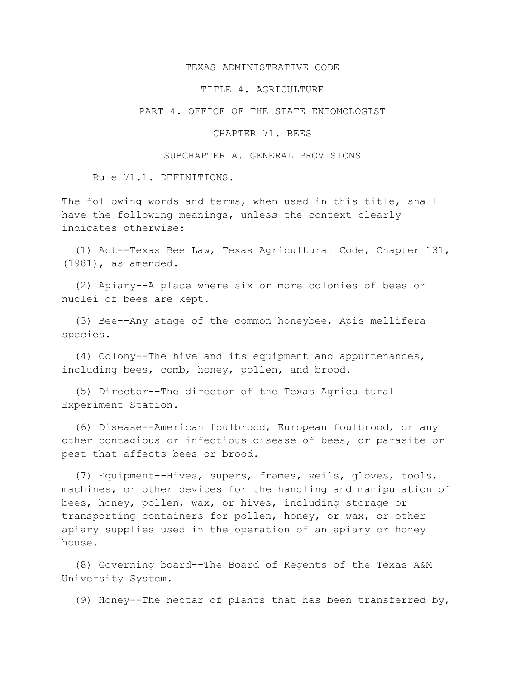## TEXAS ADMINISTRATIVE CODE

## TITLE 4. AGRICULTURE

PART 4. OFFICE OF THE STATE ENTOMOLOGIST

## CHAPTER 71. BEES

## SUBCHAPTER A. GENERAL PROVISIONS

Rule 71.1. DEFINITIONS.

The following words and terms, when used in this title, shall have the following meanings, unless the context clearly indicates otherwise:

 (1) Act--Texas Bee Law, Texas Agricultural Code, Chapter 131, (1981), as amended.

 (2) Apiary--A place where six or more colonies of bees or nuclei of bees are kept.

 (3) Bee--Any stage of the common honeybee, Apis mellifera species.

 (4) Colony--The hive and its equipment and appurtenances, including bees, comb, honey, pollen, and brood.

 (5) Director--The director of the Texas Agricultural Experiment Station.

 (6) Disease--American foulbrood, European foulbrood, or any other contagious or infectious disease of bees, or parasite or pest that affects bees or brood.

 (7) Equipment--Hives, supers, frames, veils, gloves, tools, machines, or other devices for the handling and manipulation of bees, honey, pollen, wax, or hives, including storage or transporting containers for pollen, honey, or wax, or other apiary supplies used in the operation of an apiary or honey house.

 (8) Governing board--The Board of Regents of the Texas A&M University System.

(9) Honey--The nectar of plants that has been transferred by,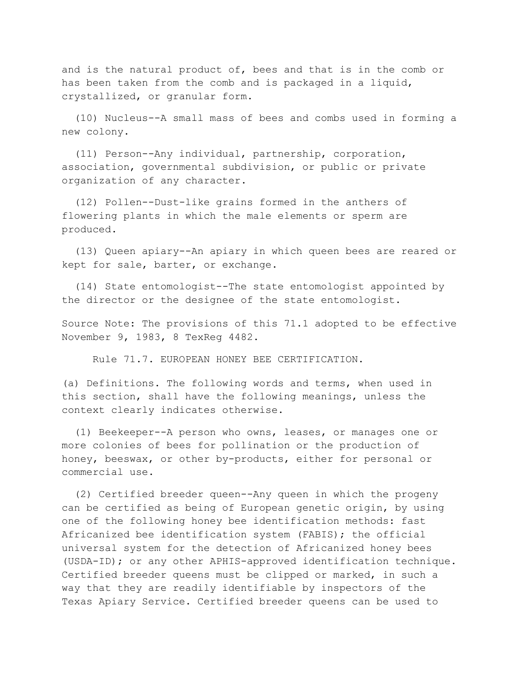and is the natural product of, bees and that is in the comb or has been taken from the comb and is packaged in a liquid, crystallized, or granular form.

 (10) Nucleus--A small mass of bees and combs used in forming a new colony.

 (11) Person--Any individual, partnership, corporation, association, governmental subdivision, or public or private organization of any character.

 (12) Pollen--Dust-like grains formed in the anthers of flowering plants in which the male elements or sperm are produced.

 (13) Queen apiary--An apiary in which queen bees are reared or kept for sale, barter, or exchange.

 (14) State entomologist--The state entomologist appointed by the director or the designee of the state entomologist.

Source Note: The provisions of this 71.1 adopted to be effective November 9, 1983, 8 TexReg 4482.

Rule 71.7. EUROPEAN HONEY BEE CERTIFICATION.

(a) Definitions. The following words and terms, when used in this section, shall have the following meanings, unless the context clearly indicates otherwise.

 (1) Beekeeper--A person who owns, leases, or manages one or more colonies of bees for pollination or the production of honey, beeswax, or other by-products, either for personal or commercial use.

 (2) Certified breeder queen--Any queen in which the progeny can be certified as being of European genetic origin, by using one of the following honey bee identification methods: fast Africanized bee identification system (FABIS); the official universal system for the detection of Africanized honey bees (USDA-ID); or any other APHIS-approved identification technique. Certified breeder queens must be clipped or marked, in such a way that they are readily identifiable by inspectors of the Texas Apiary Service. Certified breeder queens can be used to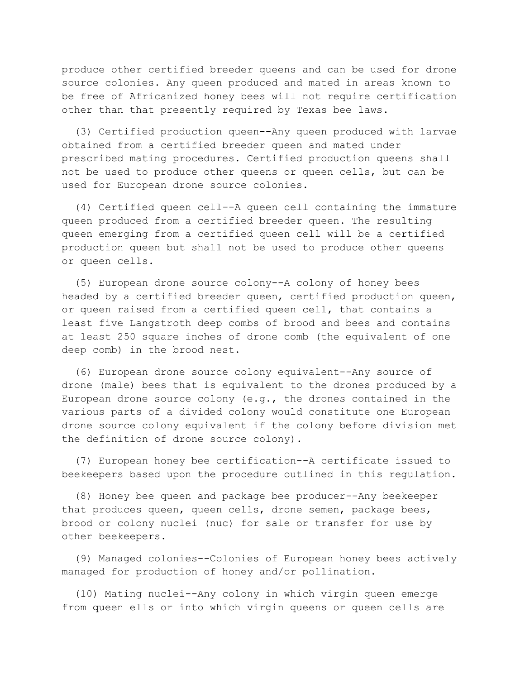produce other certified breeder queens and can be used for drone source colonies. Any queen produced and mated in areas known to be free of Africanized honey bees will not require certification other than that presently required by Texas bee laws.

 (3) Certified production queen--Any queen produced with larvae obtained from a certified breeder queen and mated under prescribed mating procedures. Certified production queens shall not be used to produce other queens or queen cells, but can be used for European drone source colonies.

 (4) Certified queen cell--A queen cell containing the immature queen produced from a certified breeder queen. The resulting queen emerging from a certified queen cell will be a certified production queen but shall not be used to produce other queens or queen cells.

 (5) European drone source colony--A colony of honey bees headed by a certified breeder queen, certified production queen, or queen raised from a certified queen cell, that contains a least five Langstroth deep combs of brood and bees and contains at least 250 square inches of drone comb (the equivalent of one deep comb) in the brood nest.

 (6) European drone source colony equivalent--Any source of drone (male) bees that is equivalent to the drones produced by a European drone source colony  $(e.g.,$  the drones contained in the various parts of a divided colony would constitute one European drone source colony equivalent if the colony before division met the definition of drone source colony).

 (7) European honey bee certification--A certificate issued to beekeepers based upon the procedure outlined in this regulation.

 (8) Honey bee queen and package bee producer--Any beekeeper that produces queen, queen cells, drone semen, package bees, brood or colony nuclei (nuc) for sale or transfer for use by other beekeepers.

 (9) Managed colonies--Colonies of European honey bees actively managed for production of honey and/or pollination.

 (10) Mating nuclei--Any colony in which virgin queen emerge from queen ells or into which virgin queens or queen cells are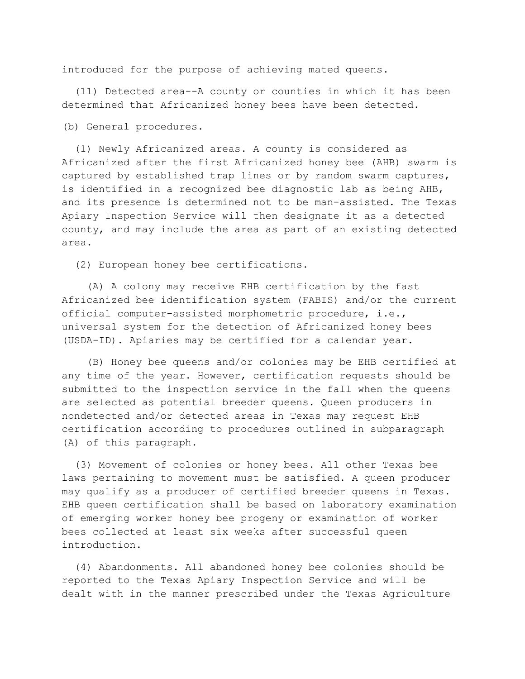introduced for the purpose of achieving mated queens.

 (11) Detected area--A county or counties in which it has been determined that Africanized honey bees have been detected.

(b) General procedures.

 (1) Newly Africanized areas. A county is considered as Africanized after the first Africanized honey bee (AHB) swarm is captured by established trap lines or by random swarm captures, is identified in a recognized bee diagnostic lab as being AHB, and its presence is determined not to be man-assisted. The Texas Apiary Inspection Service will then designate it as a detected county, and may include the area as part of an existing detected area.

(2) European honey bee certifications.

 (A) A colony may receive EHB certification by the fast Africanized bee identification system (FABIS) and/or the current official computer-assisted morphometric procedure, i.e., universal system for the detection of Africanized honey bees (USDA-ID). Apiaries may be certified for a calendar year.

 (B) Honey bee queens and/or colonies may be EHB certified at any time of the year. However, certification requests should be submitted to the inspection service in the fall when the queens are selected as potential breeder queens. Queen producers in nondetected and/or detected areas in Texas may request EHB certification according to procedures outlined in subparagraph (A) of this paragraph.

 (3) Movement of colonies or honey bees. All other Texas bee laws pertaining to movement must be satisfied. A queen producer may qualify as a producer of certified breeder queens in Texas. EHB queen certification shall be based on laboratory examination of emerging worker honey bee progeny or examination of worker bees collected at least six weeks after successful queen introduction.

 (4) Abandonments. All abandoned honey bee colonies should be reported to the Texas Apiary Inspection Service and will be dealt with in the manner prescribed under the Texas Agriculture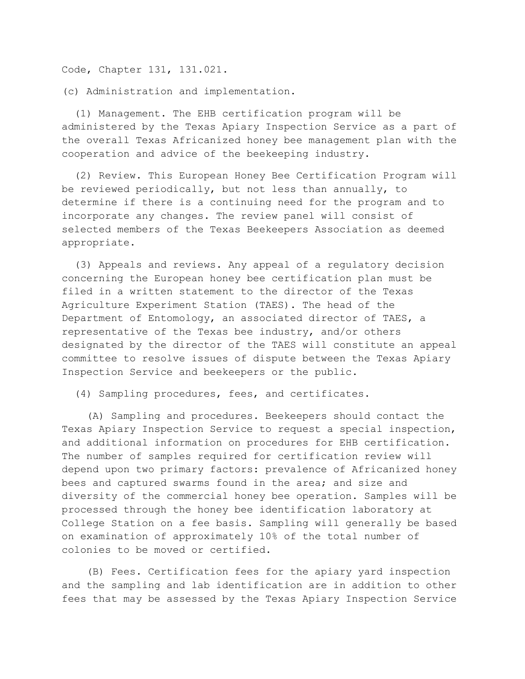Code, Chapter 131, 131.021.

(c) Administration and implementation.

 (1) Management. The EHB certification program will be administered by the Texas Apiary Inspection Service as a part of the overall Texas Africanized honey bee management plan with the cooperation and advice of the beekeeping industry.

 (2) Review. This European Honey Bee Certification Program will be reviewed periodically, but not less than annually, to determine if there is a continuing need for the program and to incorporate any changes. The review panel will consist of selected members of the Texas Beekeepers Association as deemed appropriate.

 (3) Appeals and reviews. Any appeal of a regulatory decision concerning the European honey bee certification plan must be filed in a written statement to the director of the Texas Agriculture Experiment Station (TAES). The head of the Department of Entomology, an associated director of TAES, a representative of the Texas bee industry, and/or others designated by the director of the TAES will constitute an appeal committee to resolve issues of dispute between the Texas Apiary Inspection Service and beekeepers or the public.

(4) Sampling procedures, fees, and certificates.

 (A) Sampling and procedures. Beekeepers should contact the Texas Apiary Inspection Service to request a special inspection, and additional information on procedures for EHB certification. The number of samples required for certification review will depend upon two primary factors: prevalence of Africanized honey bees and captured swarms found in the area; and size and diversity of the commercial honey bee operation. Samples will be processed through the honey bee identification laboratory at College Station on a fee basis. Sampling will generally be based on examination of approximately 10% of the total number of colonies to be moved or certified.

 (B) Fees. Certification fees for the apiary yard inspection and the sampling and lab identification are in addition to other fees that may be assessed by the Texas Apiary Inspection Service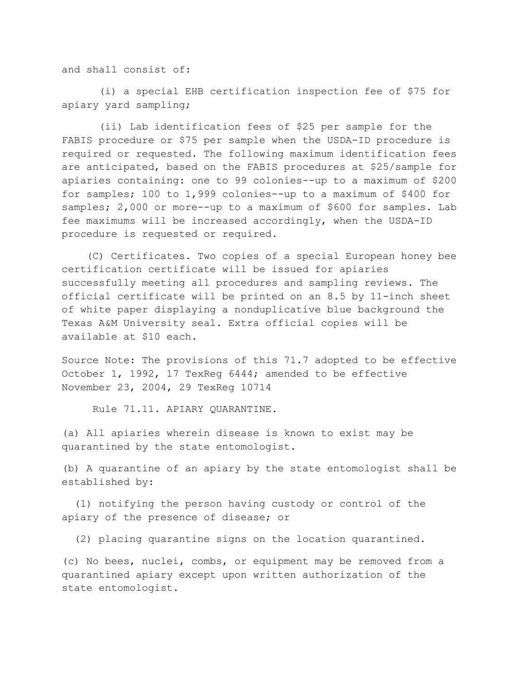and shall consist of:

 (i) a special EHB certification inspection fee of \$75 for apiary yard sampling;

 (ii) Lab identification fees of \$25 per sample for the FABIS procedure or \$75 per sample when the USDA-ID procedure is required or requested. The following maximum identification fees are anticipated, based on the FABIS procedures at \$25/sample for apiaries containing: one to 99 colonies--up to a maximum of \$200 for samples; 100 to 1,999 colonies--up to a maximum of \$400 for samples; 2,000 or more--up to a maximum of \$600 for samples. Lab fee maximums will be increased accordingly, when the USDA-ID procedure is requested or required.

 (C) Certificates. Two copies of a special European honey bee certification certificate will be issued for apiaries successfully meeting all procedures and sampling reviews. The official certificate will be printed on an 8.5 by 11-inch sheet of white paper displaying a nonduplicative blue background the Texas A&M University seal. Extra official copies will be available at \$10 each.

Source Note: The provisions of this 71.7 adopted to be effective October 1, 1992, 17 TexReg 6444; amended to be effective November 23, 2004, 29 TexReg 10714

Rule 71.11. APIARY QUARANTINE.

(a) All apiaries wherein disease is known to exist may be quarantined by the state entomologist.

(b) A quarantine of an apiary by the state entomologist shall be established by:

 (1) notifying the person having custody or control of the apiary of the presence of disease; or

(2) placing quarantine signs on the location quarantined.

(c) No bees, nuclei, combs, or equipment may be removed from a quarantined apiary except upon written authorization of the state entomologist.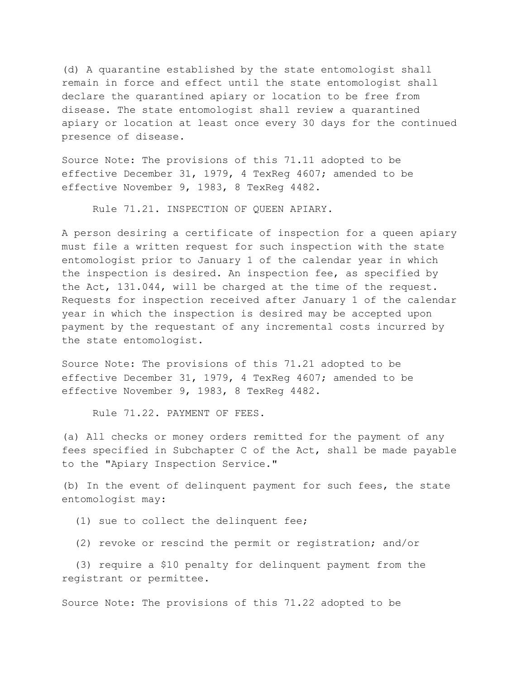(d) A quarantine established by the state entomologist shall remain in force and effect until the state entomologist shall declare the quarantined apiary or location to be free from disease. The state entomologist shall review a quarantined apiary or location at least once every 30 days for the continued presence of disease.

Source Note: The provisions of this 71.11 adopted to be effective December 31, 1979, 4 TexReg 4607; amended to be effective November 9, 1983, 8 TexReg 4482.

Rule 71.21. INSPECTION OF QUEEN APIARY.

A person desiring a certificate of inspection for a queen apiary must file a written request for such inspection with the state entomologist prior to January 1 of the calendar year in which the inspection is desired. An inspection fee, as specified by the Act, 131.044, will be charged at the time of the request. Requests for inspection received after January 1 of the calendar year in which the inspection is desired may be accepted upon payment by the requestant of any incremental costs incurred by the state entomologist.

Source Note: The provisions of this 71.21 adopted to be effective December 31, 1979, 4 TexReg 4607; amended to be effective November 9, 1983, 8 TexReg 4482.

Rule 71.22. PAYMENT OF FEES.

(a) All checks or money orders remitted for the payment of any fees specified in Subchapter C of the Act, shall be made payable to the "Apiary Inspection Service."

(b) In the event of delinquent payment for such fees, the state entomologist may:

(1) sue to collect the delinquent fee;

(2) revoke or rescind the permit or registration; and/or

 (3) require a \$10 penalty for delinquent payment from the registrant or permittee.

Source Note: The provisions of this 71.22 adopted to be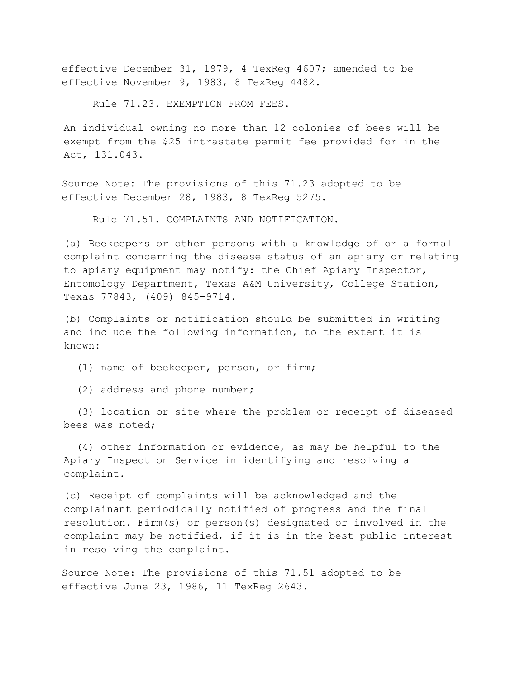effective December 31, 1979, 4 TexReg 4607; amended to be effective November 9, 1983, 8 TexReg 4482.

Rule 71.23. EXEMPTION FROM FEES.

An individual owning no more than 12 colonies of bees will be exempt from the \$25 intrastate permit fee provided for in the Act, 131.043.

Source Note**:** The provisions of this 71.23 adopted to be effective December 28, 1983, 8 TexReg 5275.

Rule 71.51. COMPLAINTS AND NOTIFICATION.

(a) Beekeepers or other persons with a knowledge of or a formal complaint concerning the disease status of an apiary or relating to apiary equipment may notify: the Chief Apiary Inspector, Entomology Department, Texas A&M University, College Station, Texas 77843, (409) 845-9714.

(b) Complaints or notification should be submitted in writing and include the following information, to the extent it is known:

(1) name of beekeeper, person, or firm;

(2) address and phone number;

(3) location or site where the problem or receipt of diseased bees was noted;

 (4) other information or evidence, as may be helpful to the Apiary Inspection Service in identifying and resolving a complaint.

(c) Receipt of complaints will be acknowledged and the complainant periodically notified of progress and the final resolution. Firm(s) or person(s) designated or involved in the complaint may be notified, if it is in the best public interest in resolving the complaint.

Source Note: The provisions of this 71.51 adopted to be effective June 23, 1986, 11 TexReg 2643.